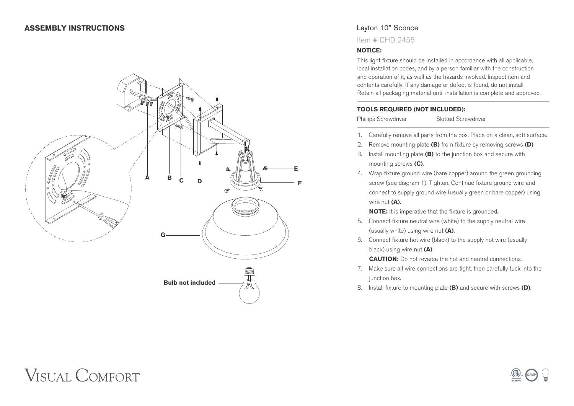### **ASSEMBLY INSTRUCTIONS**



# Layton 10" Sconce

Item # CHD 2455

### **NOTICE:**

This light fixture should be installed in accordance with all applicable, local installation codes, and by a person familiar with the construction and operation of it, as well as the hazards involved. Inspect item and contents carefully. If any damage or defect is found, do not install. Retain all packaging material until installation is complete and approved.

### **TOOLS REQUIRED (NOT INCLUDED):**

Phillips Screwdriver Slotted Screwdriver

- 1. Carefully remove all parts from the box. Place on a clean, soft surface.
- 2. Remove mounting plate **(B)** from fixture by removing screws **(D)**.
- 3. Install mounting plate **(B)** to the junction box and secure with mounting screws **(C)**.
- 4. Wrap fixture ground wire (bare copper) around the green grounding screw (see diagram 1). Tighten. Continue fixture ground wire and connect to supply ground wire (usually green or bare copper) using wire nut **(A)**.

**NOTE:** It is imperative that the fixture is grounded.

- 5. Connect fixture neutral wire (white) to the supply neutral wire (usually white) using wire nut **(A)**.
- 6. Connect fixture hot wire (black) to the supply hot wire (usually black) using wire nut **(A)**.

**CAUTION:** Do not reverse the hot and neutral connections.

- 7. Make sure all wire connections are tight, then carefully tuck into the junction box.
- 8. Install fixture to mounting plate **(B)** and secure with screws **(D)**.

# **VISUAL COMFORT**